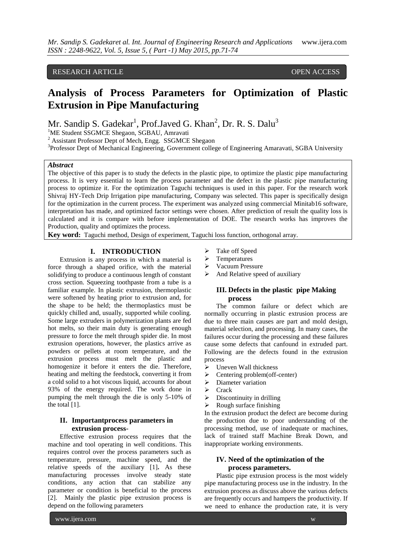# RESEARCH ARTICLE **CONSERVERS** OPEN ACCESS

# **Analysis of Process Parameters for Optimization of Plastic Extrusion in Pipe Manufacturing**

Mr. Sandip S. Gadekar<sup>1</sup>, Prof.Javed G. Khan<sup>2</sup>, Dr. R. S. Dalu<sup>3</sup>

<sup>1</sup>ME Student SSGMCE Shegaon, SGBAU, Amravati

<sup>2</sup> Assistant Professor Dept of Mech, Engg. SSGMCE Shegaon

<sup>3</sup>Professor Dept of Mechanical Engineering, Government college of Engineering Amaravati, SGBA University

#### *Abstract*

The objective of this paper is to study the defects in the plastic pipe, to optimize the plastic pipe manufacturing process. It is very essential to learn the process parameter and the defect in the plastic pipe manufacturing process to optimize it. For the optimization Taguchi techniques is used in this paper. For the research work Shivraj HY-Tech Drip Irrigation pipe manufacturing, Company was selected. This paper is specifically design for the optimization in the current process. The experiment was analyzed using commercial Minitab16 software, interpretation has made, and optimized factor settings were chosen. After prediction of result the quality loss is calculated and it is compare with before implementation of DOE. The research works has improves the Production, quality and optimizes the process.

**Key word:** Taguchi method, Design of experiment, Taguchi loss function, orthogonal array.

# **I. INTRODUCTION**

Extrusion is any process in which a material is force through a shaped orifice, with the material solidifying to produce a continuous length of constant cross section. Squeezing toothpaste from a tube is a familiar example. In plastic extrusion, thermoplastic were softened by heating prior to extrusion and, for the shape to be held; the thermoplastics must be quickly chilled and, usually, supported while cooling. Some large extruders in polymerization plants are fed hot melts, so their main duty is generating enough pressure to force the melt through spider die. In most extrusion operations, however, the plastics arrive as powders or pellets at room temperature, and the extrusion process must melt the plastic and homogenize it before it enters the die. Therefore, heating and melting the feedstock, converting it from a cold solid to a hot viscous liquid, accounts for about 93% of the energy required. The work done in pumping the melt through the die is only 5-10% of the total [1].

## **II. Importantprocess parameters in extrusion process**-

Effective extrusion process requires that the machine and tool operating in well conditions. This requires control over the process parameters such as temperature, pressure, machine speed, and the relative speeds of the auxiliary [1]**.** As these manufacturing processes involve steady state conditions, any action that can stabilize any parameter or condition is beneficial to the process [2]. Mainly the plastic pipe extrusion process is depend on the following parameters

- Take off Speed
- > Temperatures
- **►** Vacuum Pressure
- $\triangleright$  And Relative speed of auxiliary

# **III. Defects in the plastic pipe Making process**

The common failure or defect which are normally occurring in plastic extrusion process are due to three main causes are part and mold design, material selection, and processing. In many cases, the failures occur during the processing and these failures cause some defects that canfound in extruded part. Following are the defects found in the extrusion process

- > Uneven Wall thickness
- $\triangleright$  Centering problem(off-center)
- $\triangleright$  Diameter variation
- $\triangleright$  Crack
- $\triangleright$  Discontinuity in drilling
- $\triangleright$  Rough surface finishing

In the extrusion product the defect are become during the production due to poor understanding of the processing method, use of inadequate or machines, lack of trained staff Machine Break Down, and inappropriate working environments.

# **IV. Need of the optimization of the process parameters.**

Plastic pipe extrusion process is the most widely pipe manufacturing process use in the industry. In the extrusion process as discuss above the various defects are frequently occurs and hampers the productivity. If we need to enhance the production rate, it is very

www.ijera.com w

**71**|P a g e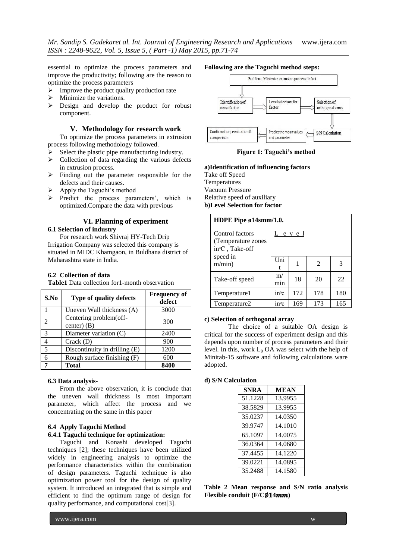essential to optimize the process parameters and improve the productivity; following are the reason to optimize the process parameters

- $\triangleright$  Improve the product quality production rate
- $\triangleright$  Minimize the variations.<br> $\triangleright$  Design and develop t
- Design and develop the product for robust component.

## **V. Methodology for research work**

To optimize the process parameters in extrusion process following methodology followed.

- Select the plastic pipe manufacturing industry.
- $\triangleright$  Collection of data regarding the various defects in extrusion process.
- $\triangleright$  Finding out the parameter responsible for the defects and their causes.
- Apply the Taguchi's method
- $\triangleright$  Predict the process parameters', which is optimized.Compare the data with previous

# **VI. Planning of experiment 6.1 Selection of industry**

For research work Shivraj HY-Tech Drip Irrigation Company was selected this company is situated in MIDC Khamgaon, in Buldhana district of Maharashtra state in India.

# **6.2 Collection of data**

**Table1** Data collection for1-month observation

| S.No | Type of quality defects                 | <b>Frequency of</b><br>defect |
|------|-----------------------------------------|-------------------------------|
|      | Uneven Wall thickness (A)               | 3000                          |
|      | Centering problem(off-<br>center) $(B)$ | 300                           |
| 3    | Diameter variation (C)                  | 2400                          |
|      | Crack(D)                                | 900                           |
| 5    | Discontinuity in drilling (E)           | 1200                          |
|      | Rough surface finishing (F)             | 600                           |
|      | Total                                   | 8400                          |

#### **6.3 Data analysis-**

From the above observation, it is conclude that the uneven wall thickness is most important parameter, which affect the process and we concentrating on the same in this paper

## **6.4 Apply Taguchi Method**

## **6.4.1 Taguchi technique for optimization:**

Taguchi and Konashi developed Taguchi techniques [2]; these techniques have been utilized widely in engineering analysis to optimize the performance characteristics within the combination of design parameters. Taguchi technique is also optimization power tool for the design of quality system. It introduced an integrated that is simple and efficient to find the optimum range of design for quality performance, and computational cost[3].

#### www.ijera.com w

**72**|P a g e

### **Following are the Taguchi method steps:**



**Figure 1: Taguchi's method**

# **a)Identification of influencing factors**

Take off Speed Temperatures Vacuum Pressure Relative speed of auxiliary **b)Level Selection for factor**

| HDPE Pipe $\mathfrak{gl}4smm/1.0$ .                                  |           |     |                |     |  |  |
|----------------------------------------------------------------------|-----------|-----|----------------|-----|--|--|
| Control factors<br>(Temperature zones<br>in <sup>o</sup> C, Take-off | Level     |     |                |     |  |  |
| speed in<br>m/min)                                                   | Uni       |     | $\mathfrak{D}$ | 3   |  |  |
| Take-off speed                                                       | m/<br>min | 18  | 20             | 22  |  |  |
| Temperature 1                                                        | inoc      | 172 | 178            | 180 |  |  |
| Temperature2                                                         | inc       | 169 | 173            | 165 |  |  |

## **c) Selection of orthogonal array**

The choice of a suitable OA design is critical for the success of experiment design and this depends upon number of process parameters and their level. In this, work L<sup>9</sup> OA was select with the help of Minitab-15 software and following calculations ware adopted.

#### **d) S/N Calculation**

| <b>SNRA</b> | <b>MEAN</b> |
|-------------|-------------|
| 51.1228     | 13.9955     |
| 38.5829     | 13.9955     |
| 35.0237     | 14.0350     |
| 39.9747     | 14.1010     |
| 65.1097     | 14.0075     |
| 36.0364     | 14.0680     |
| 37.4455     | 14.1220     |
| 39.0221     | 14.0895     |
| 35.2488     | 14.1580     |

**Table 2 Mean response and S/N ratio analysis Flexible conduit (F/C**∅**4)**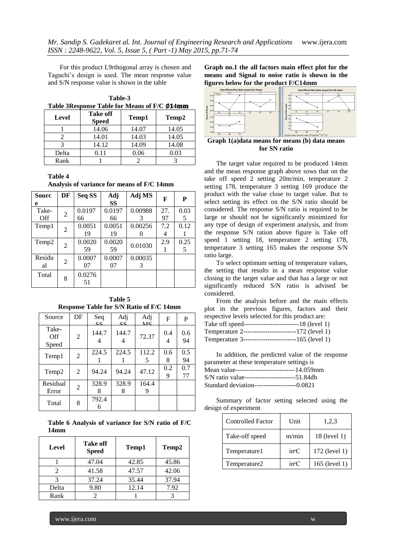For this product L9rthogonal array is chosen and Taguchi's design is used. The mean response value and S/N response value is shown in the table

**Table-3** Table 3Response Table for Means of F/C Ø14mm

| Level | Take off<br><b>Speed</b> | Temp1 | Temp2 |
|-------|--------------------------|-------|-------|
|       | 14.06                    | 14.07 | 14.05 |
|       | 14.01                    | 14.03 | 14.05 |
|       | 14.12                    | 14.09 | 14.08 |
| Delta | 0.11                     | 0.06  | 0.03  |
| Rank  |                          |       |       |

# **Table 4**

**Analysis of variance for means of F/C 14mm**

| <b>Sourc</b> | DF             | Seq SS | Adj       | Adj MS  | F   | P    |
|--------------|----------------|--------|-----------|---------|-----|------|
| e            |                |        | <b>SS</b> |         |     |      |
| Take-        | $\overline{2}$ | 0.0197 | 0.0197    | 0.00988 | 27. | 0.03 |
| Off          |                | 66     | 66        | 3       | 97  | 5    |
| Temp1        | 2              | 0.0051 | 0.0051    | 0.00256 | 7.2 | 0.12 |
|              |                | 19     | 19        |         | 4   |      |
| Temp2        |                | 0.0020 | 0.0020    |         | 2.9 | 0.25 |
|              | $\overline{2}$ | 59     | 59        | 0.01030 | L   | 5    |
| Residu       | 2              | 0.0007 | 0.0007    | 0.00035 |     |      |
| al           |                | 07     | 07        | 3       |     |      |
| Total        |                | 0.0276 |           |         |     |      |
|              | 8              | 51     |           |         |     |      |

**Table 5 Response Table for S/N Ratio of F/C 14mm**

| Source                | DF             | Seq<br>22  | Adj<br>22  | Adj<br>MS  | F        | P         |
|-----------------------|----------------|------------|------------|------------|----------|-----------|
| Take-<br>Off<br>Speed | $\overline{2}$ | 144.7<br>4 | 144.7<br>4 | 72.37      | 0.4<br>4 | 0.6<br>94 |
| Temp1                 | $\overline{2}$ | 224.5      | 224.5      | 112.2<br>5 | 0.6<br>8 | 0.5<br>94 |
| Temp <sub>2</sub>     | 2              | 94.24      | 94.24      | 47.12      | 0.2<br>9 | 0.7<br>77 |
| Residual<br>Error     | $\overline{2}$ | 328.9<br>8 | 328.9<br>8 | 164.4<br>9 |          |           |
| Total                 | 8              | 792.4      |            |            |          |           |

**Table 6 Analysis of variance for S/N ratio of F/C 14mm**

| Level | Take off<br><b>Speed</b> | Temp1 | Temp <sub>2</sub> |
|-------|--------------------------|-------|-------------------|
|       | 47.04                    | 42.85 | 45.86             |
|       | 41.58                    | 47.57 | 42.06             |
|       | 37.24                    | 35.44 | 37.94             |
| Delta | 9.80                     | 12.14 | 7.92              |
| Rank  |                          |       |                   |

**Graph no.1 the all factors main effect plot for the means and Signal to noise ratio is shown in the figures below for the product F/C14mm**



**for SN ratio**

The target value required to be produced 14mm and the mean response graph above sows that on the take off speed 2 setting 20m/min, temperature 2 setting 178, temperature 3 setting 169 produce the product with the value close to target value. But to select setting its effect on the S/N ratio should be considered. The response S/N ratio is required to be large or should not be significantly minimized for any type of design of experiment analysis, and from the response S/N ration above figure is Take off speed 1 setting 18, temperature 2 setting 178, temperature 3 setting 165 makes the response S/N ratio large.

To select optimum setting of temperature values, the setting that results in a mean response value closing to the target value and that has a large or not significantly reduced S/N ratio is advised be considered.

From the analysis before and the main effects plot in the previous figures, factors and their respective levels selected for this product are:

| Take off speed------------------------------18 (level 1) |  |
|----------------------------------------------------------|--|
| Temperature 2-------------------------172 (level 1)      |  |
| Temperature 3--------------------------165 (level 1)     |  |

In addition, the predicted value of the response parameter at these temperature settings is Mean value---------------------------14.059mm S/N ratio value-----------------------51.84db Standard deviation-------------------0.0821

Summary of factor setting selected using the design of experiment

| <b>Controlled Factor</b> | Unit          | 1,2,3         |
|--------------------------|---------------|---------------|
| Take-off speed           | m/min         | 18 (level 1)  |
| Temperature1             | inc           | 172 (level 1) |
| Temperature2             | $in^{\circ}C$ | 165 (level 1) |

**73**|P a g e